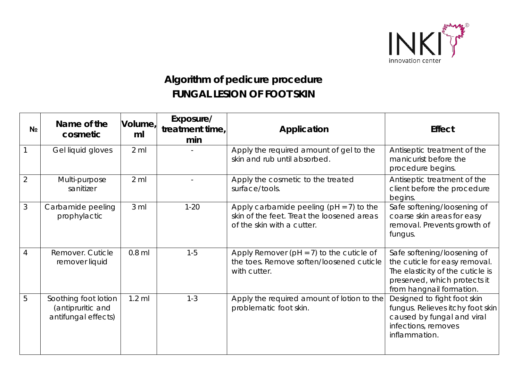

## **Algorithm of pedicure procedure FUNGAL LESION OF FOOT SKIN**

| N <sub>2</sub> | Name of the<br>cosmetic                                          | Volume,<br>ml   | Exposure/<br>treatment time,<br>min | Application                                                                                                             | <b>Effect</b>                                                                                                                                                |
|----------------|------------------------------------------------------------------|-----------------|-------------------------------------|-------------------------------------------------------------------------------------------------------------------------|--------------------------------------------------------------------------------------------------------------------------------------------------------------|
|                | Gel liquid gloves                                                | $2 \,$ ml       |                                     | Apply the required amount of gel to the<br>skin and rub until absorbed.                                                 | Antiseptic treatment of the<br>manicurist before the<br>procedure begins.                                                                                    |
| $\overline{2}$ | Multi-purpose<br>sanitizer                                       | $2$ ml          |                                     | Apply the cosmetic to the treated<br>surface/tools.                                                                     | Antiseptic treatment of the<br>client before the procedure<br>begins.                                                                                        |
| 3              | Carbamide peeling<br>prophylactic                                | 3 <sub>ml</sub> | $1 - 20$                            | Apply carbamide peeling ( $pH = 7$ ) to the<br>skin of the feet. Treat the loosened areas<br>of the skin with a cutter. | Safe softening/loosening of<br>coarse skin areas for easy<br>removal. Prevents growth of<br>fungus.                                                          |
| $\overline{4}$ | Remover. Cuticle<br>remover liquid                               | $0.8$ ml        | $1 - 5$                             | Apply Remover ( $pH = 7$ ) to the cuticle of<br>the toes. Remove soften/loosened cuticle<br>with cutter.                | Safe softening/loosening of<br>the cuticle for easy removal.<br>The elasticity of the cuticle is<br>preserved, which protects it<br>from hangnail formation. |
| 5              | Soothing foot lotion<br>(antipruritic and<br>antifungal effects) | $1.2$ ml        | $1 - 3$                             | Apply the required amount of lotion to the<br>problematic foot skin.                                                    | Designed to fight foot skin<br>fungus. Relieves itchy foot skin<br>caused by fungal and viral<br>infections, removes<br>inflammation.                        |